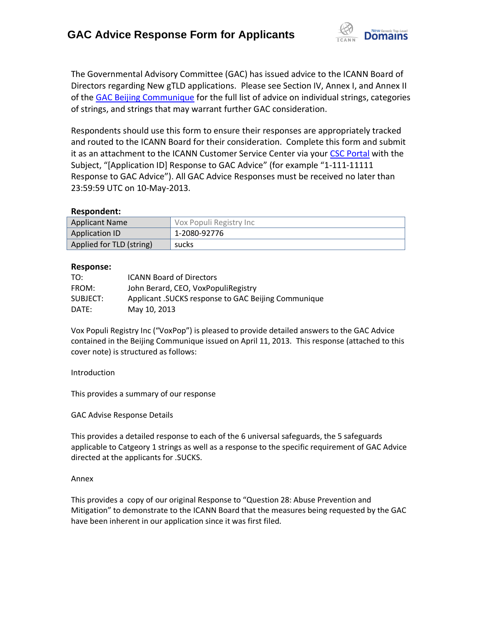

The Governmental Advisory Committee (GAC) has issued advice to the ICANN Board of Directors regarding New gTLD applications. Please see Section IV, Annex I, and Annex II of the [GAC Beijing Communique](http://www.icann.org/en/news/correspondence/gac-to-board-18apr13-en.pdf) for the full list of advice on individual strings, categories of strings, and strings that may warrant further GAC consideration.

Respondents should use this form to ensure their responses are appropriately tracked and routed to the ICANN Board for their consideration. Complete this form and submit it as an attachment to the ICANN Customer Service Center via your CSC [Portal](https://myicann.secure.force.com/) with the Subject, "[Application ID] Response to GAC Advice" (for example "1-111-11111 Response to GAC Advice"). All GAC Advice Responses must be received no later than 23:59:59 UTC on 10-May-2013.

## **Respondent:**

| <b>Applicant Name</b>    | Vox Populi Registry Inc |
|--------------------------|-------------------------|
| <b>Application ID</b>    | 1-2080-92776            |
| Applied for TLD (string) | sucks                   |

#### **Response:**

| TO:      | <b>ICANN Board of Directors</b>                      |
|----------|------------------------------------------------------|
| FROM:    | John Berard, CEO, VoxPopuliRegistry                  |
| SUBJECT: | Applicant . SUCKS response to GAC Beijing Communique |
| DATF:    | May 10, 2013                                         |

Vox Populi Registry Inc ("VoxPop") is pleased to provide detailed answers to the GAC Advice contained in the Beijing Communique issued on April 11, 2013. This response (attached to this cover note) is structured as follows:

Introduction

This provides a summary of our response

GAC Advise Response Details

This provides a detailed response to each of the 6 universal safeguards, the 5 safeguards applicable to Catgeory 1 strings as well as a response to the specific requirement of GAC Advice directed at the applicants for .SUCKS.

#### Annex

This provides a copy of our original Response to "Question 28: Abuse Prevention and Mitigation" to demonstrate to the ICANN Board that the measures being requested by the GAC have been inherent in our application since it was first filed.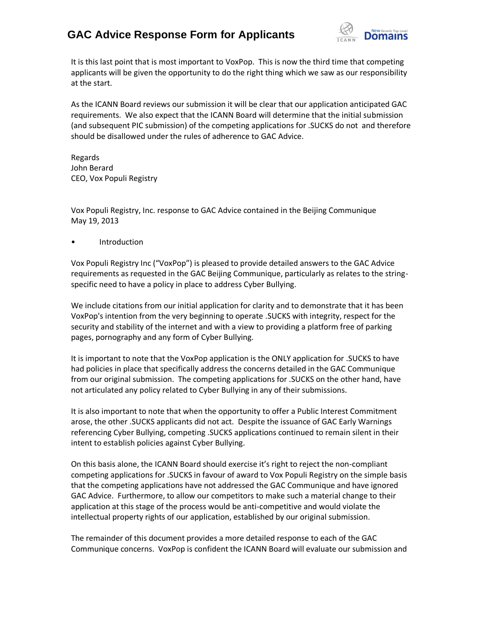

It is this last point that is most important to VoxPop. This is now the third time that competing applicants will be given the opportunity to do the right thing which we saw as our responsibility at the start.

As the ICANN Board reviews our submission it will be clear that our application anticipated GAC requirements. We also expect that the ICANN Board will determine that the initial submission (and subsequent PIC submission) of the competing applications for .SUCKS do not and therefore should be disallowed under the rules of adherence to GAC Advice.

Regards John Berard CEO, Vox Populi Registry

Vox Populi Registry, Inc. response to GAC Advice contained in the Beijing Communique May 19, 2013

• Introduction

Vox Populi Registry Inc ("VoxPop") is pleased to provide detailed answers to the GAC Advice requirements as requested in the GAC Beijing Communique, particularly as relates to the stringspecific need to have a policy in place to address Cyber Bullying.

We include citations from our initial application for clarity and to demonstrate that it has been VoxPop's intention from the very beginning to operate .SUCKS with integrity, respect for the security and stability of the internet and with a view to providing a platform free of parking pages, pornography and any form of Cyber Bullying.

It is important to note that the VoxPop application is the ONLY application for .SUCKS to have had policies in place that specifically address the concerns detailed in the GAC Communique from our original submission. The competing applications for .SUCKS on the other hand, have not articulated any policy related to Cyber Bullying in any of their submissions.

It is also important to note that when the opportunity to offer a Public Interest Commitment arose, the other .SUCKS applicants did not act. Despite the issuance of GAC Early Warnings referencing Cyber Bullying, competing .SUCKS applications continued to remain silent in their intent to establish policies against Cyber Bullying.

On this basis alone, the ICANN Board should exercise it's right to reject the non-compliant competing applications for .SUCKS in favour of award to Vox Populi Registry on the simple basis that the competing applications have not addressed the GAC Communique and have ignored GAC Advice. Furthermore, to allow our competitors to make such a material change to their application at this stage of the process would be anti-competitive and would violate the intellectual property rights of our application, established by our original submission.

The remainder of this document provides a more detailed response to each of the GAC Communique concerns. VoxPop is confident the ICANN Board will evaluate our submission and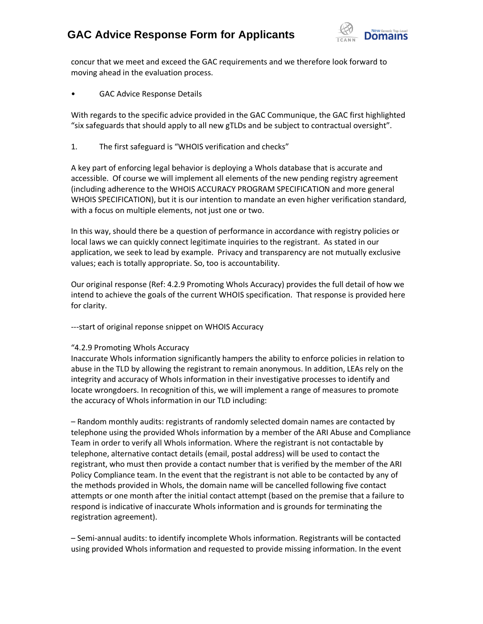

concur that we meet and exceed the GAC requirements and we therefore look forward to moving ahead in the evaluation process.

GAC Advice Response Details

With regards to the specific advice provided in the GAC Communique, the GAC first highlighted "six safeguards that should apply to all new gTLDs and be subject to contractual oversight".

1. The first safeguard is "WHOIS verification and checks"

A key part of enforcing legal behavior is deploying a WhoIs database that is accurate and accessible. Of course we will implement all elements of the new pending registry agreement (including adherence to the WHOIS ACCURACY PROGRAM SPECIFICATION and more general WHOIS SPECIFICATION), but it is our intention to mandate an even higher verification standard, with a focus on multiple elements, not just one or two.

In this way, should there be a question of performance in accordance with registry policies or local laws we can quickly connect legitimate inquiries to the registrant. As stated in our application, we seek to lead by example. Privacy and transparency are not mutually exclusive values; each is totally appropriate. So, too is accountability.

Our original response (Ref: 4.2.9 Promoting WhoIs Accuracy) provides the full detail of how we intend to achieve the goals of the current WHOIS specification. That response is provided here for clarity.

---start of original reponse snippet on WHOIS Accuracy

## "4.2.9 Promoting WhoIs Accuracy

Inaccurate WhoIs information significantly hampers the ability to enforce policies in relation to abuse in the TLD by allowing the registrant to remain anonymous. In addition, LEAs rely on the integrity and accuracy of WhoIs information in their investigative processes to identify and locate wrongdoers. In recognition of this, we will implement a range of measures to promote the accuracy of WhoIs information in our TLD including:

– Random monthly audits: registrants of randomly selected domain names are contacted by telephone using the provided WhoIs information by a member of the ARI Abuse and Compliance Team in order to verify all WhoIs information. Where the registrant is not contactable by telephone, alternative contact details (email, postal address) will be used to contact the registrant, who must then provide a contact number that is verified by the member of the ARI Policy Compliance team. In the event that the registrant is not able to be contacted by any of the methods provided in WhoIs, the domain name will be cancelled following five contact attempts or one month after the initial contact attempt (based on the premise that a failure to respond is indicative of inaccurate WhoIs information and is grounds for terminating the registration agreement).

– Semi-annual audits: to identify incomplete WhoIs information. Registrants will be contacted using provided WhoIs information and requested to provide missing information. In the event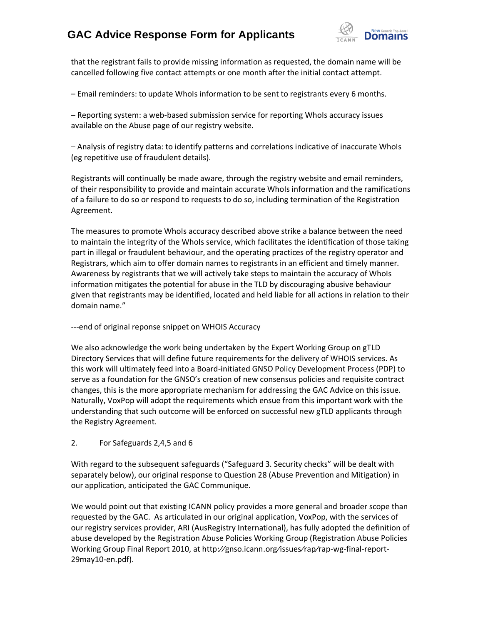

that the registrant fails to provide missing information as requested, the domain name will be cancelled following five contact attempts or one month after the initial contact attempt.

– Email reminders: to update WhoIs information to be sent to registrants every 6 months.

– Reporting system: a web-based submission service for reporting WhoIs accuracy issues available on the Abuse page of our registry website.

– Analysis of registry data: to identify patterns and correlations indicative of inaccurate WhoIs (eg repetitive use of fraudulent details).

Registrants will continually be made aware, through the registry website and email reminders, of their responsibility to provide and maintain accurate WhoIs information and the ramifications of a failure to do so or respond to requests to do so, including termination of the Registration Agreement.

The measures to promote WhoIs accuracy described above strike a balance between the need to maintain the integrity of the WhoIs service, which facilitates the identification of those taking part in illegal or fraudulent behaviour, and the operating practices of the registry operator and Registrars, which aim to offer domain names to registrants in an efficient and timely manner. Awareness by registrants that we will actively take steps to maintain the accuracy of WhoIs information mitigates the potential for abuse in the TLD by discouraging abusive behaviour given that registrants may be identified, located and held liable for all actions in relation to their domain name."

---end of original reponse snippet on WHOIS Accuracy

We also acknowledge the work being undertaken by the Expert Working Group on gTLD Directory Services that will define future requirements for the delivery of WHOIS services. As this work will ultimately feed into a Board-initiated GNSO Policy Development Process (PDP) to serve as a foundation for the GNSO's creation of new consensus policies and requisite contract changes, this is the more appropriate mechanism for addressing the GAC Advice on this issue. Naturally, VoxPop will adopt the requirements which ensue from this important work with the understanding that such outcome will be enforced on successful new gTLD applicants through the Registry Agreement.

## 2. For Safeguards 2,4,5 and 6

With regard to the subsequent safeguards ("Safeguard 3. Security checks" will be dealt with separately below), our original response to Question 28 (Abuse Prevention and Mitigation) in our application, anticipated the GAC Communique.

We would point out that existing ICANN policy provides a more general and broader scope than requested by the GAC. As articulated in our original application, VoxPop, with the services of our registry services provider, ARI (AusRegistry International), has fully adopted the definition of abuse developed by the Registration Abuse Policies Working Group (Registration Abuse Policies Working Group Final Report 2010, at http:⁄⁄gnso.icann.org⁄issues⁄rap⁄rap-wg-final-report-29may10-en.pdf).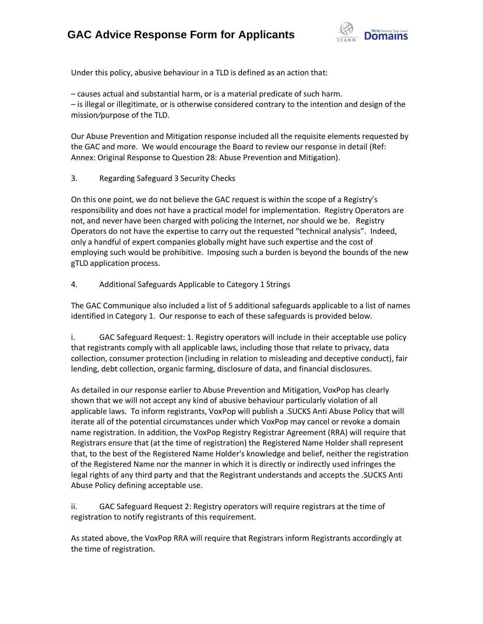

Under this policy, abusive behaviour in a TLD is defined as an action that:

– causes actual and substantial harm, or is a material predicate of such harm. – is illegal or illegitimate, or is otherwise considered contrary to the intention and design of the mission⁄purpose of the TLD.

Our Abuse Prevention and Mitigation response included all the requisite elements requested by the GAC and more. We would encourage the Board to review our response in detail (Ref: Annex: Original Response to Question 28: Abuse Prevention and Mitigation).

3. Regarding Safeguard 3 Security Checks

On this one point, we do not believe the GAC request is within the scope of a Registry's responsibility and does not have a practical model for implementation. Registry Operators are not, and never have been charged with policing the Internet, nor should we be. Registry Operators do not have the expertise to carry out the requested "technical analysis". Indeed, only a handful of expert companies globally might have such expertise and the cost of employing such would be prohibitive. Imposing such a burden is beyond the bounds of the new gTLD application process.

## 4. Additional Safeguards Applicable to Category 1 Strings

The GAC Communique also included a list of 5 additional safeguards applicable to a list of names identified in Category 1. Our response to each of these safeguards is provided below.

i. GAC Safeguard Request: 1. Registry operators will include in their acceptable use policy that registrants comply with all applicable laws, including those that relate to privacy, data collection, consumer protection (including in relation to misleading and deceptive conduct), fair lending, debt collection, organic farming, disclosure of data, and financial disclosures.

As detailed in our response earlier to Abuse Prevention and Mitigation, VoxPop has clearly shown that we will not accept any kind of abusive behaviour particularly violation of all applicable laws. To inform registrants, VoxPop will publish a .SUCKS Anti Abuse Policy that will iterate all of the potential circumstances under which VoxPop may cancel or revoke a domain name registration. In addition, the VoxPop Registry Registrar Agreement (RRA) will require that Registrars ensure that (at the time of registration) the Registered Name Holder shall represent that, to the best of the Registered Name Holder's knowledge and belief, neither the registration of the Registered Name nor the manner in which it is directly or indirectly used infringes the legal rights of any third party and that the Registrant understands and accepts the .SUCKS Anti Abuse Policy defining acceptable use.

ii. GAC Safeguard Request 2: Registry operators will require registrars at the time of registration to notify registrants of this requirement.

As stated above, the VoxPop RRA will require that Registrars inform Registrants accordingly at the time of registration.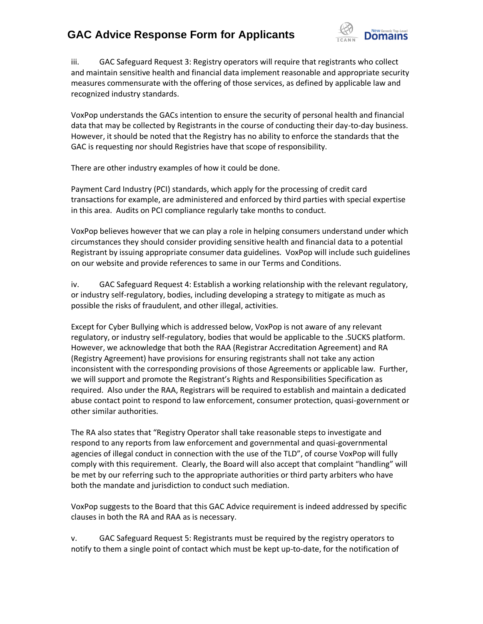

iii. GAC Safeguard Request 3: Registry operators will require that registrants who collect and maintain sensitive health and financial data implement reasonable and appropriate security measures commensurate with the offering of those services, as defined by applicable law and recognized industry standards.

VoxPop understands the GACs intention to ensure the security of personal health and financial data that may be collected by Registrants in the course of conducting their day-to-day business. However, it should be noted that the Registry has no ability to enforce the standards that the GAC is requesting nor should Registries have that scope of responsibility.

There are other industry examples of how it could be done.

Payment Card Industry (PCI) standards, which apply for the processing of credit card transactions for example, are administered and enforced by third parties with special expertise in this area. Audits on PCI compliance regularly take months to conduct.

VoxPop believes however that we can play a role in helping consumers understand under which circumstances they should consider providing sensitive health and financial data to a potential Registrant by issuing appropriate consumer data guidelines. VoxPop will include such guidelines on our website and provide references to same in our Terms and Conditions.

iv. GAC Safeguard Request 4: Establish a working relationship with the relevant regulatory, or industry self-regulatory, bodies, including developing a strategy to mitigate as much as possible the risks of fraudulent, and other illegal, activities.

Except for Cyber Bullying which is addressed below, VoxPop is not aware of any relevant regulatory, or industry self‐regulatory, bodies that would be applicable to the .SUCKS platform. However, we acknowledge that both the RAA (Registrar Accreditation Agreement) and RA (Registry Agreement) have provisions for ensuring registrants shall not take any action inconsistent with the corresponding provisions of those Agreements or applicable law. Further, we will support and promote the Registrant's Rights and Responsibilities Specification as required. Also under the RAA, Registrars will be required to establish and maintain a dedicated abuse contact point to respond to law enforcement, consumer protection, quasi-government or other similar authorities.

The RA also states that "Registry Operator shall take reasonable steps to investigate and respond to any reports from law enforcement and governmental and quasi-governmental agencies of illegal conduct in connection with the use of the TLD", of course VoxPop will fully comply with this requirement. Clearly, the Board will also accept that complaint "handling" will be met by our referring such to the appropriate authorities or third party arbiters who have both the mandate and jurisdiction to conduct such mediation.

VoxPop suggests to the Board that this GAC Advice requirement is indeed addressed by specific clauses in both the RA and RAA as is necessary.

v. GAC Safeguard Request 5: Registrants must be required by the registry operators to notify to them a single point of contact which must be kept up-to-date, for the notification of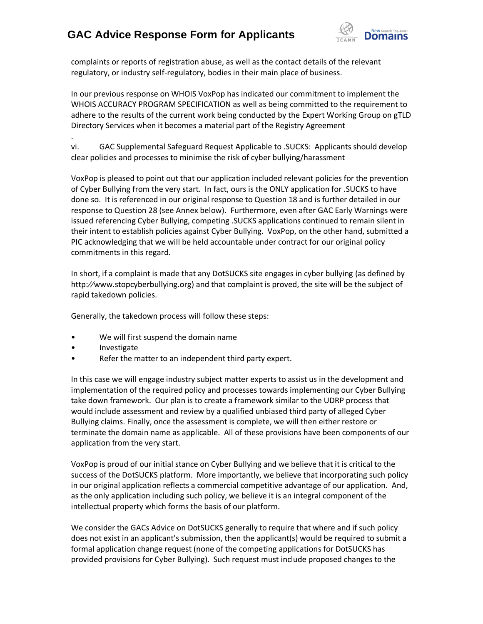

complaints or reports of registration abuse, as well as the contact details of the relevant regulatory, or industry self‐regulatory, bodies in their main place of business.

In our previous response on WHOIS VoxPop has indicated our commitment to implement the WHOIS ACCURACY PROGRAM SPECIFICATION as well as being committed to the requirement to adhere to the results of the current work being conducted by the Expert Working Group on gTLD Directory Services when it becomes a material part of the Registry Agreement

. vi. GAC Supplemental Safeguard Request Applicable to .SUCKS: Applicants should develop clear policies and processes to minimise the risk of cyber bullying/harassment

VoxPop is pleased to point out that our application included relevant policies for the prevention of Cyber Bullying from the very start. In fact, ours is the ONLY application for .SUCKS to have done so. It is referenced in our original response to Question 18 and is further detailed in our response to Question 28 (see Annex below). Furthermore, even after GAC Early Warnings were issued referencing Cyber Bullying, competing .SUCKS applications continued to remain silent in their intent to establish policies against Cyber Bullying. VoxPop, on the other hand, submitted a PIC acknowledging that we will be held accountable under contract for our original policy commitments in this regard.

In short, if a complaint is made that any DotSUCKS site engages in cyber bullying (as defined by http:⁄⁄www.stopcyberbullying.org) and that complaint is proved, the site will be the subject of rapid takedown policies.

Generally, the takedown process will follow these steps:

- We will first suspend the domain name
- Investigate
- Refer the matter to an independent third party expert.

In this case we will engage industry subject matter experts to assist us in the development and implementation of the required policy and processes towards implementing our Cyber Bullying take down framework. Our plan is to create a framework similar to the UDRP process that would include assessment and review by a qualified unbiased third party of alleged Cyber Bullying claims. Finally, once the assessment is complete, we will then either restore or terminate the domain name as applicable. All of these provisions have been components of our application from the very start.

VoxPop is proud of our initial stance on Cyber Bullying and we believe that it is critical to the success of the DotSUCKS platform. More importantly, we believe that incorporating such policy in our original application reflects a commercial competitive advantage of our application. And, as the only application including such policy, we believe it is an integral component of the intellectual property which forms the basis of our platform.

We consider the GACs Advice on DotSUCKS generally to require that where and if such policy does not exist in an applicant's submission, then the applicant(s) would be required to submit a formal application change request (none of the competing applications for DotSUCKS has provided provisions for Cyber Bullying). Such request must include proposed changes to the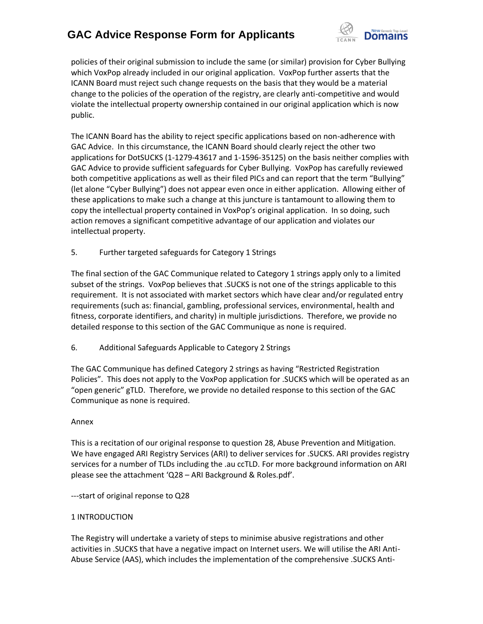

policies of their original submission to include the same (or similar) provision for Cyber Bullying which VoxPop already included in our original application. VoxPop further asserts that the ICANN Board must reject such change requests on the basis that they would be a material change to the policies of the operation of the registry, are clearly anti-competitive and would violate the intellectual property ownership contained in our original application which is now public.

The ICANN Board has the ability to reject specific applications based on non-adherence with GAC Advice. In this circumstance, the ICANN Board should clearly reject the other two applications for DotSUCKS (1-1279-43617 and 1-1596-35125) on the basis neither complies with GAC Advice to provide sufficient safeguards for Cyber Bullying. VoxPop has carefully reviewed both competitive applications as well as their filed PICs and can report that the term "Bullying" (let alone "Cyber Bullying") does not appear even once in either application. Allowing either of these applications to make such a change at this juncture is tantamount to allowing them to copy the intellectual property contained in VoxPop's original application. In so doing, such action removes a significant competitive advantage of our application and violates our intellectual property.

5. Further targeted safeguards for Category 1 Strings

The final section of the GAC Communique related to Category 1 strings apply only to a limited subset of the strings. VoxPop believes that .SUCKS is not one of the strings applicable to this requirement. It is not associated with market sectors which have clear and/or regulated entry requirements (such as: financial, gambling, professional services, environmental, health and fitness, corporate identifiers, and charity) in multiple jurisdictions. Therefore, we provide no detailed response to this section of the GAC Communique as none is required.

6. Additional Safeguards Applicable to Category 2 Strings

The GAC Communique has defined Category 2 strings as having "Restricted Registration Policies". This does not apply to the VoxPop application for .SUCKS which will be operated as an "open generic" gTLD. Therefore, we provide no detailed response to this section of the GAC Communique as none is required.

## Annex

This is a recitation of our original response to question 28, Abuse Prevention and Mitigation. We have engaged ARI Registry Services (ARI) to deliver services for .SUCKS. ARI provides registry services for a number of TLDs including the .au ccTLD. For more background information on ARI please see the attachment 'Q28 – ARI Background & Roles.pdf'.

---start of original reponse to Q28

## 1 INTRODUCTION

The Registry will undertake a variety of steps to minimise abusive registrations and other activities in .SUCKS that have a negative impact on Internet users. We will utilise the ARI Anti-Abuse Service (AAS), which includes the implementation of the comprehensive .SUCKS Anti-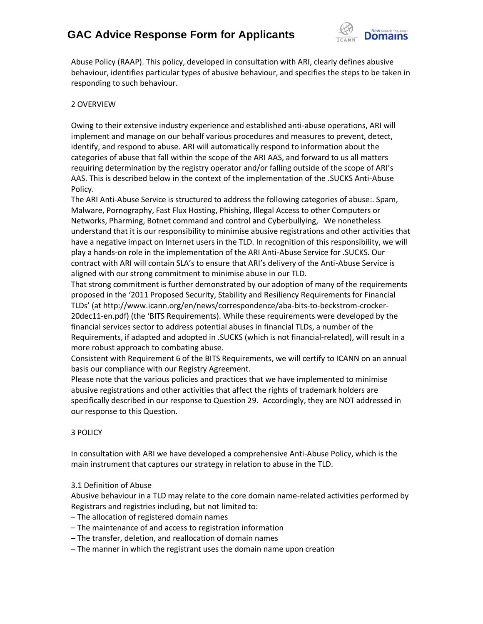

Abuse Policy (RAAP). This policy, developed in consultation with ARI, clearly defines abusive behaviour, identifies particular types of abusive behaviour, and specifies the steps to be taken in responding to such behaviour.

## 2 OVERVIEW

Owing to their extensive industry experience and established anti-abuse operations, ARI will implement and manage on our behalf various procedures and measures to prevent, detect, identify, and respond to abuse. ARI will automatically respond to information about the categories of abuse that fall within the scope of the ARI AAS, and forward to us all matters requiring determination by the registry operator and/or falling outside of the scope of ARI's AAS. This is described below in the context of the implementation of the .SUCKS Anti-Abuse Policy.

The ARI Anti-Abuse Service is structured to address the following categories of abuse:. Spam, Malware, Pornography, Fast Flux Hosting, Phishing, Illegal Access to other Computers or Networks, Pharming, Botnet command and control and Cyberbullying, We nonetheless understand that it is our responsibility to minimise abusive registrations and other activities that have a negative impact on Internet users in the TLD. In recognition of this responsibility, we will play a hands-on role in the implementation of the ARI Anti-Abuse Service for .SUCKS. Our contract with ARI will contain SLA's to ensure that ARI's delivery of the Anti-Abuse Service is aligned with our strong commitment to minimise abuse in our TLD.

That strong commitment is further demonstrated by our adoption of many of the requirements proposed in the '2011 Proposed Security, Stability and Resiliency Requirements for Financial TLDs' (at http://www.icann.org/en/news/correspondence/aba-bits-to-beckstrom-crocker-20dec11-en.pdf) (the 'BITS Requirements). While these requirements were developed by the financial services sector to address potential abuses in financial TLDs, a number of the Requirements, if adapted and adopted in .SUCKS (which is not financial-related), will result in a more robust approach to combating abuse.

Consistent with Requirement 6 of the BITS Requirements, we will certify to ICANN on an annual basis our compliance with our Registry Agreement.

Please note that the various policies and practices that we have implemented to minimise abusive registrations and other activities that affect the rights of trademark holders are specifically described in our response to Question 29. Accordingly, they are NOT addressed in our response to this Question.

## 3 POLICY

In consultation with ARI we have developed a comprehensive Anti-Abuse Policy, which is the main instrument that captures our strategy in relation to abuse in the TLD.

## 3.1 Definition of Abuse

Abusive behaviour in a TLD may relate to the core domain name-related activities performed by Registrars and registries including, but not limited to:

- The allocation of registered domain names
- The maintenance of and access to registration information
- The transfer, deletion, and reallocation of domain names
- The manner in which the registrant uses the domain name upon creation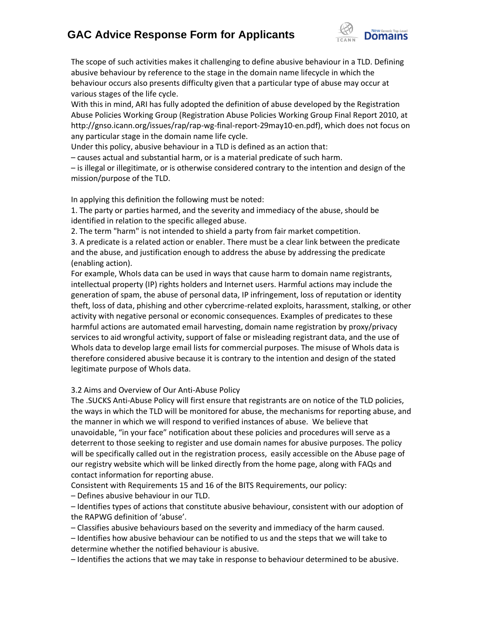

The scope of such activities makes it challenging to define abusive behaviour in a TLD. Defining abusive behaviour by reference to the stage in the domain name lifecycle in which the behaviour occurs also presents difficulty given that a particular type of abuse may occur at various stages of the life cycle.

With this in mind, ARI has fully adopted the definition of abuse developed by the Registration Abuse Policies Working Group (Registration Abuse Policies Working Group Final Report 2010, at http://gnso.icann.org/issues/rap/rap-wg-final-report-29may10-en.pdf), which does not focus on any particular stage in the domain name life cycle.

Under this policy, abusive behaviour in a TLD is defined as an action that:

– causes actual and substantial harm, or is a material predicate of such harm.

– is illegal or illegitimate, or is otherwise considered contrary to the intention and design of the mission/purpose of the TLD.

In applying this definition the following must be noted:

1. The party or parties harmed, and the severity and immediacy of the abuse, should be identified in relation to the specific alleged abuse.

2. The term "harm" is not intended to shield a party from fair market competition.

3. A predicate is a related action or enabler. There must be a clear link between the predicate and the abuse, and justification enough to address the abuse by addressing the predicate (enabling action).

For example, WhoIs data can be used in ways that cause harm to domain name registrants, intellectual property (IP) rights holders and Internet users. Harmful actions may include the generation of spam, the abuse of personal data, IP infringement, loss of reputation or identity theft, loss of data, phishing and other cybercrime-related exploits, harassment, stalking, or other activity with negative personal or economic consequences. Examples of predicates to these harmful actions are automated email harvesting, domain name registration by proxy/privacy services to aid wrongful activity, support of false or misleading registrant data, and the use of WhoIs data to develop large email lists for commercial purposes. The misuse of WhoIs data is therefore considered abusive because it is contrary to the intention and design of the stated legitimate purpose of WhoIs data.

## 3.2 Aims and Overview of Our Anti-Abuse Policy

The .SUCKS Anti-Abuse Policy will first ensure that registrants are on notice of the TLD policies, the ways in which the TLD will be monitored for abuse, the mechanisms for reporting abuse, and the manner in which we will respond to verified instances of abuse. We believe that unavoidable, "in your face" notification about these policies and procedures will serve as a deterrent to those seeking to register and use domain names for abusive purposes. The policy will be specifically called out in the registration process, easily accessible on the Abuse page of our registry website which will be linked directly from the home page, along with FAQs and contact information for reporting abuse.

Consistent with Requirements 15 and 16 of the BITS Requirements, our policy:

– Defines abusive behaviour in our TLD.

– Identifies types of actions that constitute abusive behaviour, consistent with our adoption of the RAPWG definition of 'abuse'.

– Classifies abusive behaviours based on the severity and immediacy of the harm caused.

– Identifies how abusive behaviour can be notified to us and the steps that we will take to determine whether the notified behaviour is abusive.

– Identifies the actions that we may take in response to behaviour determined to be abusive.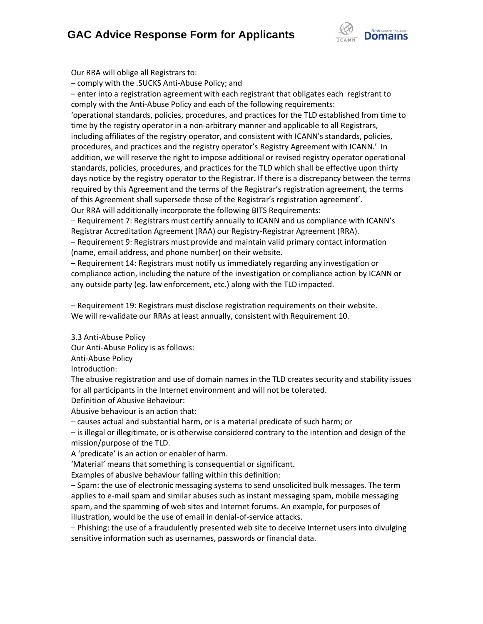

Our RRA will oblige all Registrars to:

– comply with the .SUCKS Anti-Abuse Policy; and

– enter into a registration agreement with each registrant that obligates each registrant to comply with the Anti-Abuse Policy and each of the following requirements:

'operational standards, policies, procedures, and practices for the TLD established from time to time by the registry operator in a non-arbitrary manner and applicable to all Registrars, including affiliates of the registry operator, and consistent with ICANN's standards, policies, procedures, and practices and the registry operator's Registry Agreement with ICANN.' In addition, we will reserve the right to impose additional or revised registry operator operational standards, policies, procedures, and practices for the TLD which shall be effective upon thirty days notice by the registry operator to the Registrar. If there is a discrepancy between the terms required by this Agreement and the terms of the Registrar's registration agreement, the terms of this Agreement shall supersede those of the Registrar's registration agreement'. Our RRA will additionally incorporate the following BITS Requirements:

– Requirement 7: Registrars must certify annually to ICANN and us compliance with ICANN's Registrar Accreditation Agreement (RAA) our Registry-Registrar Agreement (RRA).

– Requirement 9: Registrars must provide and maintain valid primary contact information (name, email address, and phone number) on their website.

– Requirement 14: Registrars must notify us immediately regarding any investigation or compliance action, including the nature of the investigation or compliance action by ICANN or any outside party (eg. law enforcement, etc.) along with the TLD impacted.

– Requirement 19: Registrars must disclose registration requirements on their website. We will re-validate our RRAs at least annually, consistent with Requirement 10.

3.3 Anti-Abuse Policy

Our Anti-Abuse Policy is as follows:

Anti-Abuse Policy

Introduction:

The abusive registration and use of domain names in the TLD creates security and stability issues for all participants in the Internet environment and will not be tolerated.

Definition of Abusive Behaviour:

Abusive behaviour is an action that:

– causes actual and substantial harm, or is a material predicate of such harm; or

– is illegal or illegitimate, or is otherwise considered contrary to the intention and design of the mission/purpose of the TLD.

A 'predicate' is an action or enabler of harm.

'Material' means that something is consequential or significant.

Examples of abusive behaviour falling within this definition:

– Spam: the use of electronic messaging systems to send unsolicited bulk messages. The term applies to e-mail spam and similar abuses such as instant messaging spam, mobile messaging spam, and the spamming of web sites and Internet forums. An example, for purposes of illustration, would be the use of email in denial-of-service attacks.

– Phishing: the use of a fraudulently presented web site to deceive Internet users into divulging sensitive information such as usernames, passwords or financial data.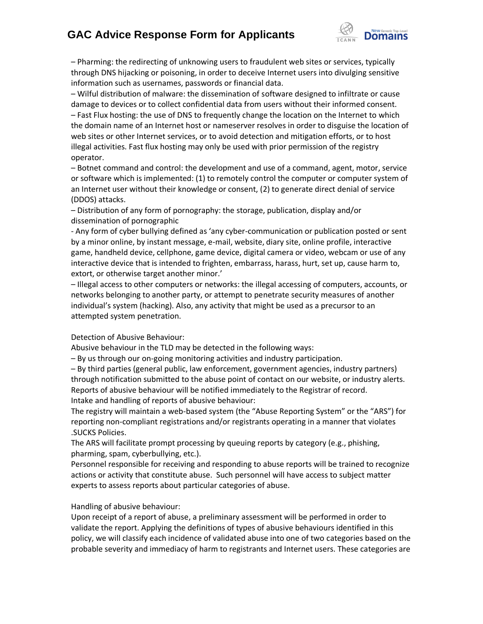

– Pharming: the redirecting of unknowing users to fraudulent web sites or services, typically through DNS hijacking or poisoning, in order to deceive Internet users into divulging sensitive information such as usernames, passwords or financial data.

– Wilful distribution of malware: the dissemination of software designed to infiltrate or cause damage to devices or to collect confidential data from users without their informed consent. – Fast Flux hosting: the use of DNS to frequently change the location on the Internet to which the domain name of an Internet host or nameserver resolves in order to disguise the location of web sites or other Internet services, or to avoid detection and mitigation efforts, or to host illegal activities. Fast flux hosting may only be used with prior permission of the registry operator.

– Botnet command and control: the development and use of a command, agent, motor, service or software which is implemented: (1) to remotely control the computer or computer system of an Internet user without their knowledge or consent, (2) to generate direct denial of service (DDOS) attacks.

– Distribution of any form of pornography: the storage, publication, display and/or dissemination of pornographic

- Any form of cyber bullying defined as 'any cyber-communication or publication posted or sent by a minor online, by instant message, e-mail, website, diary site, online profile, interactive game, handheld device, cellphone, game device, digital camera or video, webcam or use of any interactive device that is intended to frighten, embarrass, harass, hurt, set up, cause harm to, extort, or otherwise target another minor.'

– Illegal access to other computers or networks: the illegal accessing of computers, accounts, or networks belonging to another party, or attempt to penetrate security measures of another individual's system (hacking). Also, any activity that might be used as a precursor to an attempted system penetration.

Detection of Abusive Behaviour:

Abusive behaviour in the TLD may be detected in the following ways:

– By us through our on-going monitoring activities and industry participation.

– By third parties (general public, law enforcement, government agencies, industry partners) through notification submitted to the abuse point of contact on our website, or industry alerts. Reports of abusive behaviour will be notified immediately to the Registrar of record. Intake and handling of reports of abusive behaviour:

The registry will maintain a web-based system (the "Abuse Reporting System" or the "ARS") for reporting non-compliant registrations and/or registrants operating in a manner that violates .SUCKS Policies.

The ARS will facilitate prompt processing by queuing reports by category (e.g., phishing, pharming, spam, cyberbullying, etc.).

Personnel responsible for receiving and responding to abuse reports will be trained to recognize actions or activity that constitute abuse. Such personnel will have access to subject matter experts to assess reports about particular categories of abuse.

Handling of abusive behaviour:

Upon receipt of a report of abuse, a preliminary assessment will be performed in order to validate the report. Applying the definitions of types of abusive behaviours identified in this policy, we will classify each incidence of validated abuse into one of two categories based on the probable severity and immediacy of harm to registrants and Internet users. These categories are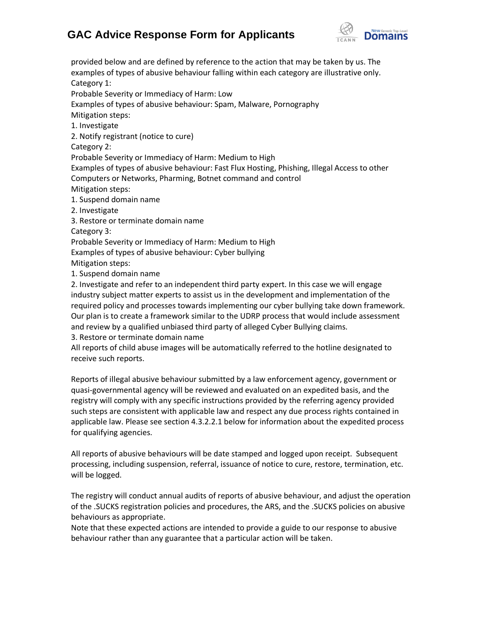

provided below and are defined by reference to the action that may be taken by us. The examples of types of abusive behaviour falling within each category are illustrative only. Category 1: Probable Severity or Immediacy of Harm: Low Examples of types of abusive behaviour: Spam, Malware, Pornography Mitigation steps: 1. Investigate 2. Notify registrant (notice to cure) Category 2: Probable Severity or Immediacy of Harm: Medium to High Examples of types of abusive behaviour: Fast Flux Hosting, Phishing, Illegal Access to other Computers or Networks, Pharming, Botnet command and control Mitigation steps: 1. Suspend domain name 2. Investigate 3. Restore or terminate domain name Category 3: Probable Severity or Immediacy of Harm: Medium to High Examples of types of abusive behaviour: Cyber bullying Mitigation steps: 1. Suspend domain name 2. Investigate and refer to an independent third party expert. In this case we will engage industry subject matter experts to assist us in the development and implementation of the required policy and processes towards implementing our cyber bullying take down framework. Our plan is to create a framework similar to the UDRP process that would include assessment and review by a qualified unbiased third party of alleged Cyber Bullying claims.

3. Restore or terminate domain name

All reports of child abuse images will be automatically referred to the hotline designated to receive such reports.

Reports of illegal abusive behaviour submitted by a law enforcement agency, government or quasi-governmental agency will be reviewed and evaluated on an expedited basis, and the registry will comply with any specific instructions provided by the referring agency provided such steps are consistent with applicable law and respect any due process rights contained in applicable law. Please see section 4.3.2.2.1 below for information about the expedited process for qualifying agencies.

All reports of abusive behaviours will be date stamped and logged upon receipt. Subsequent processing, including suspension, referral, issuance of notice to cure, restore, termination, etc. will be logged.

The registry will conduct annual audits of reports of abusive behaviour, and adjust the operation of the .SUCKS registration policies and procedures, the ARS, and the .SUCKS policies on abusive behaviours as appropriate.

Note that these expected actions are intended to provide a guide to our response to abusive behaviour rather than any guarantee that a particular action will be taken.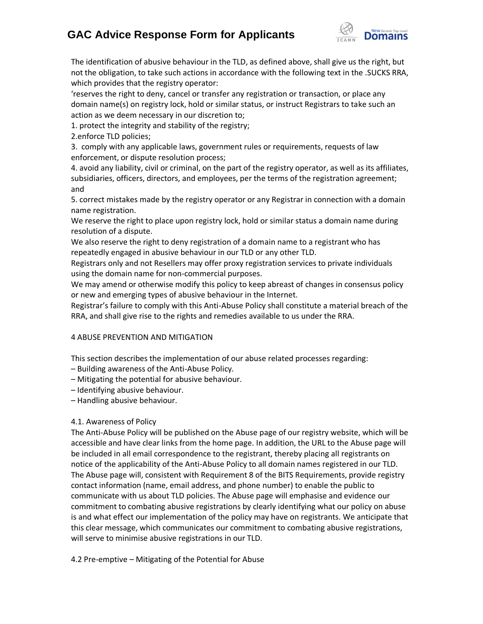

The identification of abusive behaviour in the TLD, as defined above, shall give us the right, but not the obligation, to take such actions in accordance with the following text in the .SUCKS RRA, which provides that the registry operator:

'reserves the right to deny, cancel or transfer any registration or transaction, or place any domain name(s) on registry lock, hold or similar status, or instruct Registrars to take such an action as we deem necessary in our discretion to;

1. protect the integrity and stability of the registry;

2.enforce TLD policies;

3. comply with any applicable laws, government rules or requirements, requests of law enforcement, or dispute resolution process;

4. avoid any liability, civil or criminal, on the part of the registry operator, as well as its affiliates, subsidiaries, officers, directors, and employees, per the terms of the registration agreement; and

5. correct mistakes made by the registry operator or any Registrar in connection with a domain name registration.

We reserve the right to place upon registry lock, hold or similar status a domain name during resolution of a dispute.

We also reserve the right to deny registration of a domain name to a registrant who has repeatedly engaged in abusive behaviour in our TLD or any other TLD.

Registrars only and not Resellers may offer proxy registration services to private individuals using the domain name for non-commercial purposes.

We may amend or otherwise modify this policy to keep abreast of changes in consensus policy or new and emerging types of abusive behaviour in the Internet.

Registrar's failure to comply with this Anti-Abuse Policy shall constitute a material breach of the RRA, and shall give rise to the rights and remedies available to us under the RRA.

## 4 ABUSE PREVENTION AND MITIGATION

This section describes the implementation of our abuse related processes regarding:

– Building awareness of the Anti-Abuse Policy.

– Mitigating the potential for abusive behaviour.

– Identifying abusive behaviour.

– Handling abusive behaviour.

## 4.1. Awareness of Policy

The Anti-Abuse Policy will be published on the Abuse page of our registry website, which will be accessible and have clear links from the home page. In addition, the URL to the Abuse page will be included in all email correspondence to the registrant, thereby placing all registrants on notice of the applicability of the Anti-Abuse Policy to all domain names registered in our TLD. The Abuse page will, consistent with Requirement 8 of the BITS Requirements, provide registry contact information (name, email address, and phone number) to enable the public to communicate with us about TLD policies. The Abuse page will emphasise and evidence our commitment to combating abusive registrations by clearly identifying what our policy on abuse is and what effect our implementation of the policy may have on registrants. We anticipate that this clear message, which communicates our commitment to combating abusive registrations, will serve to minimise abusive registrations in our TLD.

4.2 Pre-emptive – Mitigating of the Potential for Abuse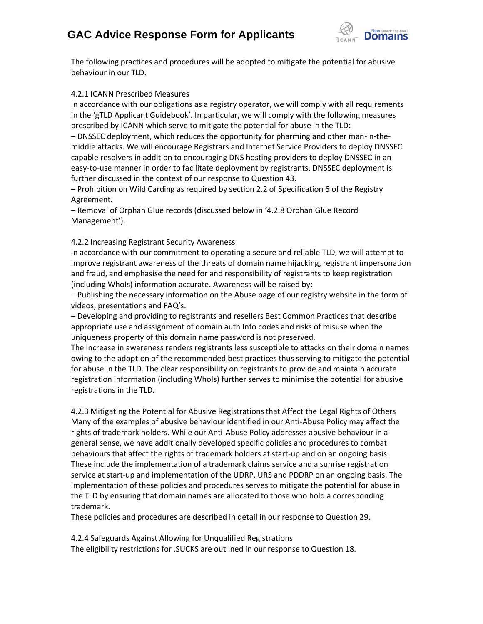

The following practices and procedures will be adopted to mitigate the potential for abusive behaviour in our TLD.

#### 4.2.1 ICANN Prescribed Measures

In accordance with our obligations as a registry operator, we will comply with all requirements in the 'gTLD Applicant Guidebook'. In particular, we will comply with the following measures prescribed by ICANN which serve to mitigate the potential for abuse in the TLD:

– DNSSEC deployment, which reduces the opportunity for pharming and other man-in-themiddle attacks. We will encourage Registrars and Internet Service Providers to deploy DNSSEC capable resolvers in addition to encouraging DNS hosting providers to deploy DNSSEC in an easy-to-use manner in order to facilitate deployment by registrants. DNSSEC deployment is further discussed in the context of our response to Question 43.

– Prohibition on Wild Carding as required by section 2.2 of Specification 6 of the Registry Agreement.

– Removal of Orphan Glue records (discussed below in '4.2.8 Orphan Glue Record Management').

## 4.2.2 Increasing Registrant Security Awareness

In accordance with our commitment to operating a secure and reliable TLD, we will attempt to improve registrant awareness of the threats of domain name hijacking, registrant impersonation and fraud, and emphasise the need for and responsibility of registrants to keep registration (including WhoIs) information accurate. Awareness will be raised by:

– Publishing the necessary information on the Abuse page of our registry website in the form of videos, presentations and FAQ's.

– Developing and providing to registrants and resellers Best Common Practices that describe appropriate use and assignment of domain auth Info codes and risks of misuse when the uniqueness property of this domain name password is not preserved.

The increase in awareness renders registrants less susceptible to attacks on their domain names owing to the adoption of the recommended best practices thus serving to mitigate the potential for abuse in the TLD. The clear responsibility on registrants to provide and maintain accurate registration information (including WhoIs) further serves to minimise the potential for abusive registrations in the TLD.

4.2.3 Mitigating the Potential for Abusive Registrations that Affect the Legal Rights of Others Many of the examples of abusive behaviour identified in our Anti-Abuse Policy may affect the rights of trademark holders. While our Anti-Abuse Policy addresses abusive behaviour in a general sense, we have additionally developed specific policies and procedures to combat behaviours that affect the rights of trademark holders at start-up and on an ongoing basis. These include the implementation of a trademark claims service and a sunrise registration service at start-up and implementation of the UDRP, URS and PDDRP on an ongoing basis. The implementation of these policies and procedures serves to mitigate the potential for abuse in the TLD by ensuring that domain names are allocated to those who hold a corresponding trademark.

These policies and procedures are described in detail in our response to Question 29.

4.2.4 Safeguards Against Allowing for Unqualified Registrations

The eligibility restrictions for .SUCKS are outlined in our response to Question 18.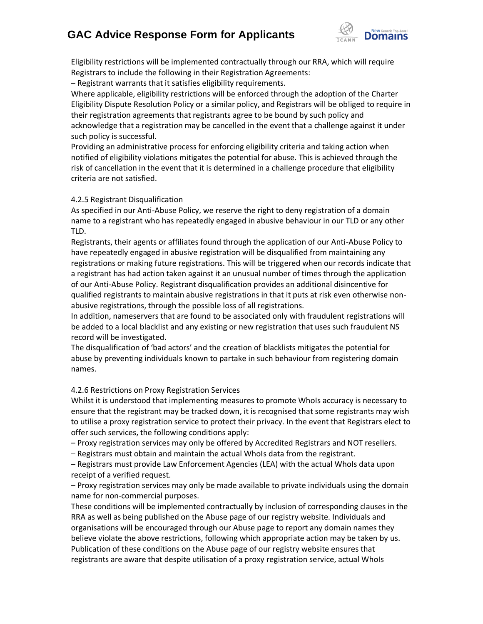

Eligibility restrictions will be implemented contractually through our RRA, which will require Registrars to include the following in their Registration Agreements:

– Registrant warrants that it satisfies eligibility requirements.

Where applicable, eligibility restrictions will be enforced through the adoption of the Charter Eligibility Dispute Resolution Policy or a similar policy, and Registrars will be obliged to require in their registration agreements that registrants agree to be bound by such policy and acknowledge that a registration may be cancelled in the event that a challenge against it under such policy is successful.

Providing an administrative process for enforcing eligibility criteria and taking action when notified of eligibility violations mitigates the potential for abuse. This is achieved through the risk of cancellation in the event that it is determined in a challenge procedure that eligibility criteria are not satisfied.

## 4.2.5 Registrant Disqualification

As specified in our Anti-Abuse Policy, we reserve the right to deny registration of a domain name to a registrant who has repeatedly engaged in abusive behaviour in our TLD or any other TLD.

Registrants, their agents or affiliates found through the application of our Anti-Abuse Policy to have repeatedly engaged in abusive registration will be disqualified from maintaining any registrations or making future registrations. This will be triggered when our records indicate that a registrant has had action taken against it an unusual number of times through the application of our Anti-Abuse Policy. Registrant disqualification provides an additional disincentive for qualified registrants to maintain abusive registrations in that it puts at risk even otherwise nonabusive registrations, through the possible loss of all registrations.

In addition, nameservers that are found to be associated only with fraudulent registrations will be added to a local blacklist and any existing or new registration that uses such fraudulent NS record will be investigated.

The disqualification of 'bad actors' and the creation of blacklists mitigates the potential for abuse by preventing individuals known to partake in such behaviour from registering domain names.

## 4.2.6 Restrictions on Proxy Registration Services

Whilst it is understood that implementing measures to promote WhoIs accuracy is necessary to ensure that the registrant may be tracked down, it is recognised that some registrants may wish to utilise a proxy registration service to protect their privacy. In the event that Registrars elect to offer such services, the following conditions apply:

– Proxy registration services may only be offered by Accredited Registrars and NOT resellers.

– Registrars must obtain and maintain the actual WhoIs data from the registrant.

– Registrars must provide Law Enforcement Agencies (LEA) with the actual WhoIs data upon receipt of a verified request.

– Proxy registration services may only be made available to private individuals using the domain name for non-commercial purposes.

These conditions will be implemented contractually by inclusion of corresponding clauses in the RRA as well as being published on the Abuse page of our registry website. Individuals and organisations will be encouraged through our Abuse page to report any domain names they believe violate the above restrictions, following which appropriate action may be taken by us. Publication of these conditions on the Abuse page of our registry website ensures that registrants are aware that despite utilisation of a proxy registration service, actual WhoIs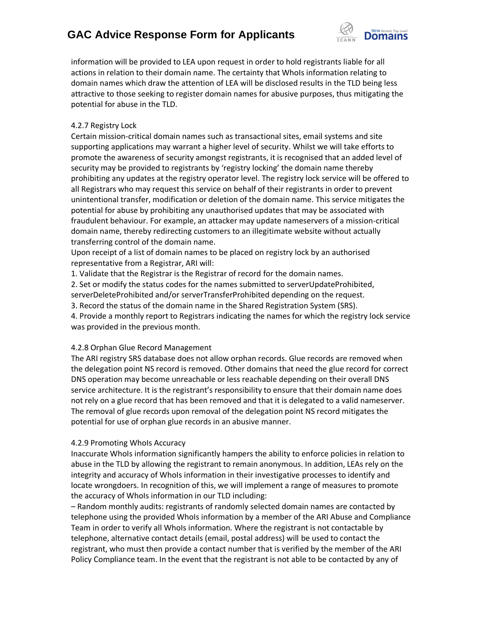

information will be provided to LEA upon request in order to hold registrants liable for all actions in relation to their domain name. The certainty that WhoIs information relating to domain names which draw the attention of LEA will be disclosed results in the TLD being less attractive to those seeking to register domain names for abusive purposes, thus mitigating the potential for abuse in the TLD.

## 4.2.7 Registry Lock

Certain mission-critical domain names such as transactional sites, email systems and site supporting applications may warrant a higher level of security. Whilst we will take efforts to promote the awareness of security amongst registrants, it is recognised that an added level of security may be provided to registrants by 'registry locking' the domain name thereby prohibiting any updates at the registry operator level. The registry lock service will be offered to all Registrars who may request this service on behalf of their registrants in order to prevent unintentional transfer, modification or deletion of the domain name. This service mitigates the potential for abuse by prohibiting any unauthorised updates that may be associated with fraudulent behaviour. For example, an attacker may update nameservers of a mission-critical domain name, thereby redirecting customers to an illegitimate website without actually transferring control of the domain name.

Upon receipt of a list of domain names to be placed on registry lock by an authorised representative from a Registrar, ARI will:

1. Validate that the Registrar is the Registrar of record for the domain names.

2. Set or modify the status codes for the names submitted to serverUpdateProhibited, serverDeleteProhibited and/or serverTransferProhibited depending on the request.

3. Record the status of the domain name in the Shared Registration System (SRS).

4. Provide a monthly report to Registrars indicating the names for which the registry lock service was provided in the previous month.

## 4.2.8 Orphan Glue Record Management

The ARI registry SRS database does not allow orphan records. Glue records are removed when the delegation point NS record is removed. Other domains that need the glue record for correct DNS operation may become unreachable or less reachable depending on their overall DNS service architecture. It is the registrant's responsibility to ensure that their domain name does not rely on a glue record that has been removed and that it is delegated to a valid nameserver. The removal of glue records upon removal of the delegation point NS record mitigates the potential for use of orphan glue records in an abusive manner.

## 4.2.9 Promoting WhoIs Accuracy

Inaccurate WhoIs information significantly hampers the ability to enforce policies in relation to abuse in the TLD by allowing the registrant to remain anonymous. In addition, LEAs rely on the integrity and accuracy of WhoIs information in their investigative processes to identify and locate wrongdoers. In recognition of this, we will implement a range of measures to promote the accuracy of WhoIs information in our TLD including:

– Random monthly audits: registrants of randomly selected domain names are contacted by telephone using the provided WhoIs information by a member of the ARI Abuse and Compliance Team in order to verify all WhoIs information. Where the registrant is not contactable by telephone, alternative contact details (email, postal address) will be used to contact the registrant, who must then provide a contact number that is verified by the member of the ARI Policy Compliance team. In the event that the registrant is not able to be contacted by any of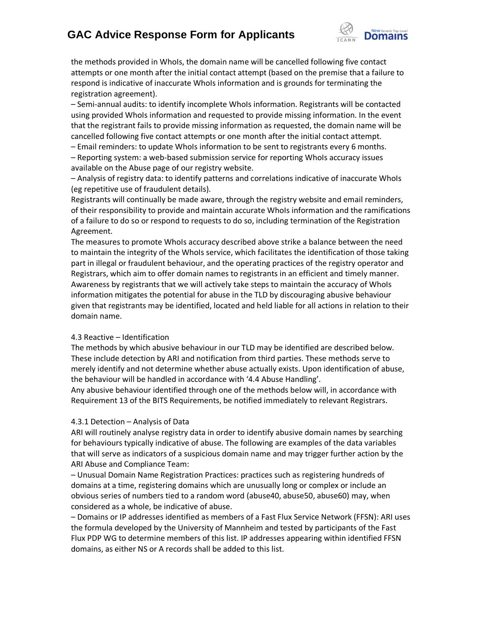

the methods provided in WhoIs, the domain name will be cancelled following five contact attempts or one month after the initial contact attempt (based on the premise that a failure to respond is indicative of inaccurate WhoIs information and is grounds for terminating the registration agreement).

– Semi-annual audits: to identify incomplete WhoIs information. Registrants will be contacted using provided WhoIs information and requested to provide missing information. In the event that the registrant fails to provide missing information as requested, the domain name will be cancelled following five contact attempts or one month after the initial contact attempt.

– Email reminders: to update WhoIs information to be sent to registrants every 6 months. – Reporting system: a web-based submission service for reporting WhoIs accuracy issues available on the Abuse page of our registry website.

– Analysis of registry data: to identify patterns and correlations indicative of inaccurate WhoIs (eg repetitive use of fraudulent details).

Registrants will continually be made aware, through the registry website and email reminders, of their responsibility to provide and maintain accurate WhoIs information and the ramifications of a failure to do so or respond to requests to do so, including termination of the Registration Agreement.

The measures to promote WhoIs accuracy described above strike a balance between the need to maintain the integrity of the WhoIs service, which facilitates the identification of those taking part in illegal or fraudulent behaviour, and the operating practices of the registry operator and Registrars, which aim to offer domain names to registrants in an efficient and timely manner. Awareness by registrants that we will actively take steps to maintain the accuracy of WhoIs information mitigates the potential for abuse in the TLD by discouraging abusive behaviour given that registrants may be identified, located and held liable for all actions in relation to their domain name.

#### 4.3 Reactive – Identification

The methods by which abusive behaviour in our TLD may be identified are described below. These include detection by ARI and notification from third parties. These methods serve to merely identify and not determine whether abuse actually exists. Upon identification of abuse, the behaviour will be handled in accordance with '4.4 Abuse Handling'.

Any abusive behaviour identified through one of the methods below will, in accordance with Requirement 13 of the BITS Requirements, be notified immediately to relevant Registrars.

#### 4.3.1 Detection – Analysis of Data

ARI will routinely analyse registry data in order to identify abusive domain names by searching for behaviours typically indicative of abuse. The following are examples of the data variables that will serve as indicators of a suspicious domain name and may trigger further action by the ARI Abuse and Compliance Team:

– Unusual Domain Name Registration Practices: practices such as registering hundreds of domains at a time, registering domains which are unusually long or complex or include an obvious series of numbers tied to a random word (abuse40, abuse50, abuse60) may, when considered as a whole, be indicative of abuse.

– Domains or IP addresses identified as members of a Fast Flux Service Network (FFSN): ARI uses the formula developed by the University of Mannheim and tested by participants of the Fast Flux PDP WG to determine members of this list. IP addresses appearing within identified FFSN domains, as either NS or A records shall be added to this list.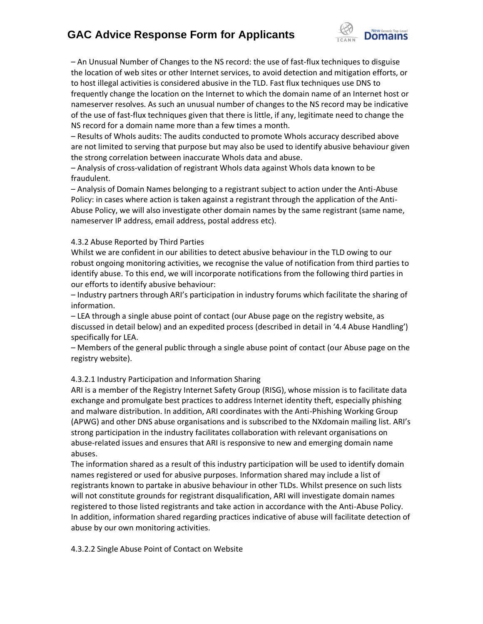

– An Unusual Number of Changes to the NS record: the use of fast-flux techniques to disguise the location of web sites or other Internet services, to avoid detection and mitigation efforts, or to host illegal activities is considered abusive in the TLD. Fast flux techniques use DNS to frequently change the location on the Internet to which the domain name of an Internet host or nameserver resolves. As such an unusual number of changes to the NS record may be indicative of the use of fast-flux techniques given that there is little, if any, legitimate need to change the NS record for a domain name more than a few times a month.

– Results of WhoIs audits: The audits conducted to promote WhoIs accuracy described above are not limited to serving that purpose but may also be used to identify abusive behaviour given the strong correlation between inaccurate WhoIs data and abuse.

– Analysis of cross-validation of registrant WhoIs data against WhoIs data known to be fraudulent.

– Analysis of Domain Names belonging to a registrant subject to action under the Anti-Abuse Policy: in cases where action is taken against a registrant through the application of the Anti-Abuse Policy, we will also investigate other domain names by the same registrant (same name, nameserver IP address, email address, postal address etc).

## 4.3.2 Abuse Reported by Third Parties

Whilst we are confident in our abilities to detect abusive behaviour in the TLD owing to our robust ongoing monitoring activities, we recognise the value of notification from third parties to identify abuse. To this end, we will incorporate notifications from the following third parties in our efforts to identify abusive behaviour:

– Industry partners through ARI's participation in industry forums which facilitate the sharing of information.

– LEA through a single abuse point of contact (our Abuse page on the registry website, as discussed in detail below) and an expedited process (described in detail in '4.4 Abuse Handling') specifically for LEA.

– Members of the general public through a single abuse point of contact (our Abuse page on the registry website).

## 4.3.2.1 Industry Participation and Information Sharing

ARI is a member of the Registry Internet Safety Group (RISG), whose mission is to facilitate data exchange and promulgate best practices to address Internet identity theft, especially phishing and malware distribution. In addition, ARI coordinates with the Anti-Phishing Working Group (APWG) and other DNS abuse organisations and is subscribed to the NXdomain mailing list. ARI's strong participation in the industry facilitates collaboration with relevant organisations on abuse-related issues and ensures that ARI is responsive to new and emerging domain name abuses.

The information shared as a result of this industry participation will be used to identify domain names registered or used for abusive purposes. Information shared may include a list of registrants known to partake in abusive behaviour in other TLDs. Whilst presence on such lists will not constitute grounds for registrant disqualification, ARI will investigate domain names registered to those listed registrants and take action in accordance with the Anti-Abuse Policy. In addition, information shared regarding practices indicative of abuse will facilitate detection of abuse by our own monitoring activities.

4.3.2.2 Single Abuse Point of Contact on Website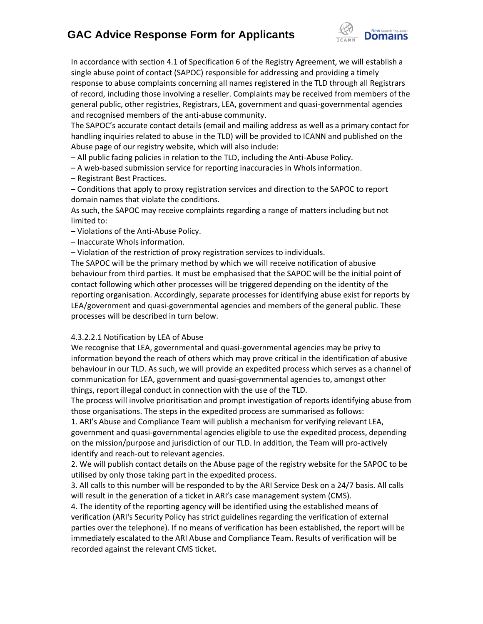

In accordance with section 4.1 of Specification 6 of the Registry Agreement, we will establish a single abuse point of contact (SAPOC) responsible for addressing and providing a timely response to abuse complaints concerning all names registered in the TLD through all Registrars of record, including those involving a reseller. Complaints may be received from members of the general public, other registries, Registrars, LEA, government and quasi-governmental agencies and recognised members of the anti-abuse community.

The SAPOC's accurate contact details (email and mailing address as well as a primary contact for handling inquiries related to abuse in the TLD) will be provided to ICANN and published on the Abuse page of our registry website, which will also include:

– All public facing policies in relation to the TLD, including the Anti-Abuse Policy.

– A web-based submission service for reporting inaccuracies in WhoIs information.

– Registrant Best Practices.

– Conditions that apply to proxy registration services and direction to the SAPOC to report domain names that violate the conditions.

As such, the SAPOC may receive complaints regarding a range of matters including but not limited to:

– Violations of the Anti-Abuse Policy.

– Inaccurate WhoIs information.

– Violation of the restriction of proxy registration services to individuals.

The SAPOC will be the primary method by which we will receive notification of abusive behaviour from third parties. It must be emphasised that the SAPOC will be the initial point of contact following which other processes will be triggered depending on the identity of the reporting organisation. Accordingly, separate processes for identifying abuse exist for reports by LEA/government and quasi-governmental agencies and members of the general public. These processes will be described in turn below.

## 4.3.2.2.1 Notification by LEA of Abuse

We recognise that LEA, governmental and quasi-governmental agencies may be privy to information beyond the reach of others which may prove critical in the identification of abusive behaviour in our TLD. As such, we will provide an expedited process which serves as a channel of communication for LEA, government and quasi-governmental agencies to, amongst other things, report illegal conduct in connection with the use of the TLD.

The process will involve prioritisation and prompt investigation of reports identifying abuse from those organisations. The steps in the expedited process are summarised as follows:

1. ARI's Abuse and Compliance Team will publish a mechanism for verifying relevant LEA, government and quasi-governmental agencies eligible to use the expedited process, depending on the mission/purpose and jurisdiction of our TLD. In addition, the Team will pro-actively identify and reach-out to relevant agencies.

2. We will publish contact details on the Abuse page of the registry website for the SAPOC to be utilised by only those taking part in the expedited process.

3. All calls to this number will be responded to by the ARI Service Desk on a 24/7 basis. All calls will result in the generation of a ticket in ARI's case management system (CMS).

4. The identity of the reporting agency will be identified using the established means of verification (ARI's Security Policy has strict guidelines regarding the verification of external parties over the telephone). If no means of verification has been established, the report will be immediately escalated to the ARI Abuse and Compliance Team. Results of verification will be recorded against the relevant CMS ticket.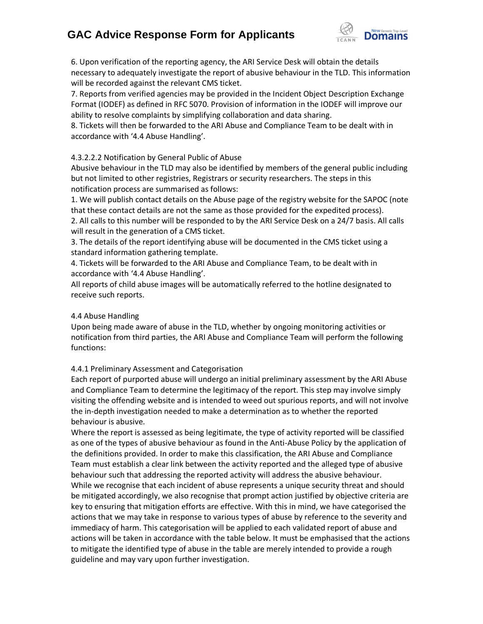

6. Upon verification of the reporting agency, the ARI Service Desk will obtain the details necessary to adequately investigate the report of abusive behaviour in the TLD. This information will be recorded against the relevant CMS ticket.

7. Reports from verified agencies may be provided in the Incident Object Description Exchange Format (IODEF) as defined in RFC 5070. Provision of information in the IODEF will improve our ability to resolve complaints by simplifying collaboration and data sharing.

8. Tickets will then be forwarded to the ARI Abuse and Compliance Team to be dealt with in accordance with '4.4 Abuse Handling'.

## 4.3.2.2.2 Notification by General Public of Abuse

Abusive behaviour in the TLD may also be identified by members of the general public including but not limited to other registries, Registrars or security researchers. The steps in this notification process are summarised as follows:

1. We will publish contact details on the Abuse page of the registry website for the SAPOC (note that these contact details are not the same as those provided for the expedited process).

2. All calls to this number will be responded to by the ARI Service Desk on a 24/7 basis. All calls will result in the generation of a CMS ticket.

3. The details of the report identifying abuse will be documented in the CMS ticket using a standard information gathering template.

4. Tickets will be forwarded to the ARI Abuse and Compliance Team, to be dealt with in accordance with '4.4 Abuse Handling'.

All reports of child abuse images will be automatically referred to the hotline designated to receive such reports.

## 4.4 Abuse Handling

Upon being made aware of abuse in the TLD, whether by ongoing monitoring activities or notification from third parties, the ARI Abuse and Compliance Team will perform the following functions:

## 4.4.1 Preliminary Assessment and Categorisation

Each report of purported abuse will undergo an initial preliminary assessment by the ARI Abuse and Compliance Team to determine the legitimacy of the report. This step may involve simply visiting the offending website and is intended to weed out spurious reports, and will not involve the in-depth investigation needed to make a determination as to whether the reported behaviour is abusive.

Where the report is assessed as being legitimate, the type of activity reported will be classified as one of the types of abusive behaviour as found in the Anti-Abuse Policy by the application of the definitions provided. In order to make this classification, the ARI Abuse and Compliance Team must establish a clear link between the activity reported and the alleged type of abusive behaviour such that addressing the reported activity will address the abusive behaviour. While we recognise that each incident of abuse represents a unique security threat and should be mitigated accordingly, we also recognise that prompt action justified by objective criteria are key to ensuring that mitigation efforts are effective. With this in mind, we have categorised the actions that we may take in response to various types of abuse by reference to the severity and immediacy of harm. This categorisation will be applied to each validated report of abuse and actions will be taken in accordance with the table below. It must be emphasised that the actions to mitigate the identified type of abuse in the table are merely intended to provide a rough guideline and may vary upon further investigation.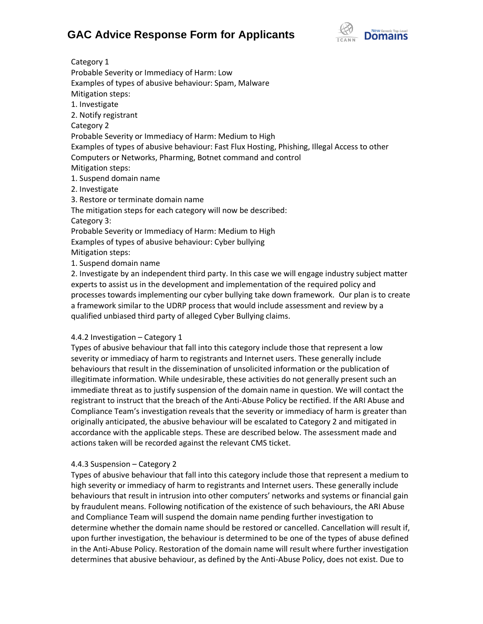

Category 1 Probable Severity or Immediacy of Harm: Low Examples of types of abusive behaviour: Spam, Malware Mitigation steps: 1. Investigate 2. Notify registrant Category 2 Probable Severity or Immediacy of Harm: Medium to High Examples of types of abusive behaviour: Fast Flux Hosting, Phishing, Illegal Access to other Computers or Networks, Pharming, Botnet command and control Mitigation steps: 1. Suspend domain name 2. Investigate 3. Restore or terminate domain name The mitigation steps for each category will now be described: Category 3: Probable Severity or Immediacy of Harm: Medium to High Examples of types of abusive behaviour: Cyber bullying Mitigation steps: 1. Suspend domain name 2. Investigate by an independent third party. In this case we will engage industry subject matter

experts to assist us in the development and implementation of the required policy and processes towards implementing our cyber bullying take down framework. Our plan is to create a framework similar to the UDRP process that would include assessment and review by a qualified unbiased third party of alleged Cyber Bullying claims.

## 4.4.2 Investigation – Category 1

Types of abusive behaviour that fall into this category include those that represent a low severity or immediacy of harm to registrants and Internet users. These generally include behaviours that result in the dissemination of unsolicited information or the publication of illegitimate information. While undesirable, these activities do not generally present such an immediate threat as to justify suspension of the domain name in question. We will contact the registrant to instruct that the breach of the Anti-Abuse Policy be rectified. If the ARI Abuse and Compliance Team's investigation reveals that the severity or immediacy of harm is greater than originally anticipated, the abusive behaviour will be escalated to Category 2 and mitigated in accordance with the applicable steps. These are described below. The assessment made and actions taken will be recorded against the relevant CMS ticket.

## 4.4.3 Suspension – Category 2

Types of abusive behaviour that fall into this category include those that represent a medium to high severity or immediacy of harm to registrants and Internet users. These generally include behaviours that result in intrusion into other computers' networks and systems or financial gain by fraudulent means. Following notification of the existence of such behaviours, the ARI Abuse and Compliance Team will suspend the domain name pending further investigation to determine whether the domain name should be restored or cancelled. Cancellation will result if, upon further investigation, the behaviour is determined to be one of the types of abuse defined in the Anti-Abuse Policy. Restoration of the domain name will result where further investigation determines that abusive behaviour, as defined by the Anti-Abuse Policy, does not exist. Due to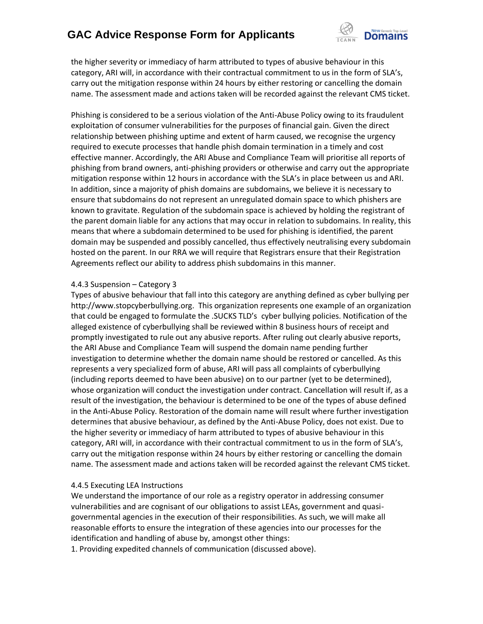

the higher severity or immediacy of harm attributed to types of abusive behaviour in this category, ARI will, in accordance with their contractual commitment to us in the form of SLA's, carry out the mitigation response within 24 hours by either restoring or cancelling the domain name. The assessment made and actions taken will be recorded against the relevant CMS ticket.

Phishing is considered to be a serious violation of the Anti-Abuse Policy owing to its fraudulent exploitation of consumer vulnerabilities for the purposes of financial gain. Given the direct relationship between phishing uptime and extent of harm caused, we recognise the urgency required to execute processes that handle phish domain termination in a timely and cost effective manner. Accordingly, the ARI Abuse and Compliance Team will prioritise all reports of phishing from brand owners, anti-phishing providers or otherwise and carry out the appropriate mitigation response within 12 hours in accordance with the SLA's in place between us and ARI. In addition, since a majority of phish domains are subdomains, we believe it is necessary to ensure that subdomains do not represent an unregulated domain space to which phishers are known to gravitate. Regulation of the subdomain space is achieved by holding the registrant of the parent domain liable for any actions that may occur in relation to subdomains. In reality, this means that where a subdomain determined to be used for phishing is identified, the parent domain may be suspended and possibly cancelled, thus effectively neutralising every subdomain hosted on the parent. In our RRA we will require that Registrars ensure that their Registration Agreements reflect our ability to address phish subdomains in this manner.

#### 4.4.3 Suspension – Category 3

Types of abusive behaviour that fall into this category are anything defined as cyber bullying per http://www.stopcyberbullying.org. This organization represents one example of an organization that could be engaged to formulate the .SUCKS TLD's cyber bullying policies. Notification of the alleged existence of cyberbullying shall be reviewed within 8 business hours of receipt and promptly investigated to rule out any abusive reports. After ruling out clearly abusive reports, the ARI Abuse and Compliance Team will suspend the domain name pending further investigation to determine whether the domain name should be restored or cancelled. As this represents a very specialized form of abuse, ARI will pass all complaints of cyberbullying (including reports deemed to have been abusive) on to our partner (yet to be determined), whose organization will conduct the investigation under contract. Cancellation will result if, as a result of the investigation, the behaviour is determined to be one of the types of abuse defined in the Anti-Abuse Policy. Restoration of the domain name will result where further investigation determines that abusive behaviour, as defined by the Anti-Abuse Policy, does not exist. Due to the higher severity or immediacy of harm attributed to types of abusive behaviour in this category, ARI will, in accordance with their contractual commitment to us in the form of SLA's, carry out the mitigation response within 24 hours by either restoring or cancelling the domain name. The assessment made and actions taken will be recorded against the relevant CMS ticket.

## 4.4.5 Executing LEA Instructions

We understand the importance of our role as a registry operator in addressing consumer vulnerabilities and are cognisant of our obligations to assist LEAs, government and quasigovernmental agencies in the execution of their responsibilities. As such, we will make all reasonable efforts to ensure the integration of these agencies into our processes for the identification and handling of abuse by, amongst other things:

1. Providing expedited channels of communication (discussed above).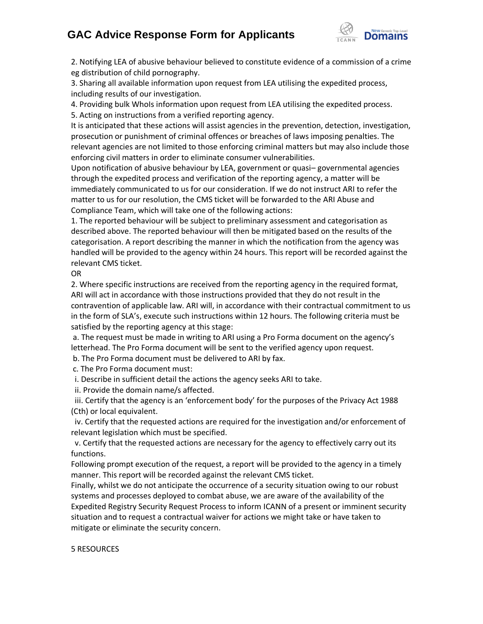

2. Notifying LEA of abusive behaviour believed to constitute evidence of a commission of a crime eg distribution of child pornography.

3. Sharing all available information upon request from LEA utilising the expedited process, including results of our investigation.

4. Providing bulk WhoIs information upon request from LEA utilising the expedited process. 5. Acting on instructions from a verified reporting agency.

It is anticipated that these actions will assist agencies in the prevention, detection, investigation, prosecution or punishment of criminal offences or breaches of laws imposing penalties. The relevant agencies are not limited to those enforcing criminal matters but may also include those enforcing civil matters in order to eliminate consumer vulnerabilities.

Upon notification of abusive behaviour by LEA, government or quasi– governmental agencies through the expedited process and verification of the reporting agency, a matter will be immediately communicated to us for our consideration. If we do not instruct ARI to refer the matter to us for our resolution, the CMS ticket will be forwarded to the ARI Abuse and Compliance Team, which will take one of the following actions:

1. The reported behaviour will be subject to preliminary assessment and categorisation as described above. The reported behaviour will then be mitigated based on the results of the categorisation. A report describing the manner in which the notification from the agency was handled will be provided to the agency within 24 hours. This report will be recorded against the relevant CMS ticket.

OR

2. Where specific instructions are received from the reporting agency in the required format, ARI will act in accordance with those instructions provided that they do not result in the contravention of applicable law. ARI will, in accordance with their contractual commitment to us in the form of SLA's, execute such instructions within 12 hours. The following criteria must be satisfied by the reporting agency at this stage:

a. The request must be made in writing to ARI using a Pro Forma document on the agency's letterhead. The Pro Forma document will be sent to the verified agency upon request.

b. The Pro Forma document must be delivered to ARI by fax.

c. The Pro Forma document must:

i. Describe in sufficient detail the actions the agency seeks ARI to take.

ii. Provide the domain name/s affected.

 iii. Certify that the agency is an 'enforcement body' for the purposes of the Privacy Act 1988 (Cth) or local equivalent.

 iv. Certify that the requested actions are required for the investigation and/or enforcement of relevant legislation which must be specified.

 v. Certify that the requested actions are necessary for the agency to effectively carry out its functions.

Following prompt execution of the request, a report will be provided to the agency in a timely manner. This report will be recorded against the relevant CMS ticket.

Finally, whilst we do not anticipate the occurrence of a security situation owing to our robust systems and processes deployed to combat abuse, we are aware of the availability of the Expedited Registry Security Request Process to inform ICANN of a present or imminent security situation and to request a contractual waiver for actions we might take or have taken to mitigate or eliminate the security concern.

## 5 RESOURCES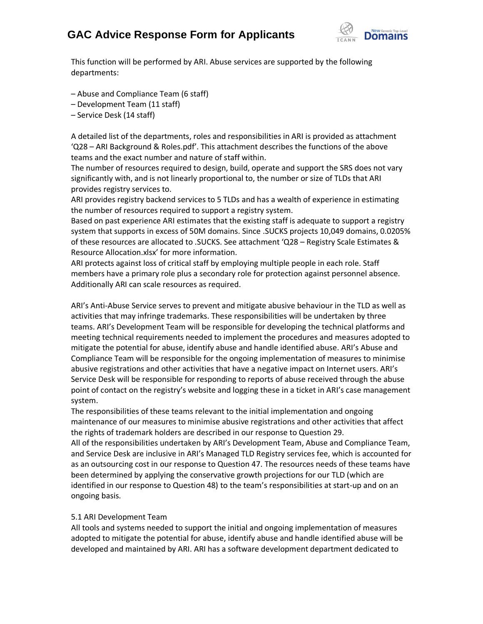

This function will be performed by ARI. Abuse services are supported by the following departments:

- Abuse and Compliance Team (6 staff)
- Development Team (11 staff)
- Service Desk (14 staff)

A detailed list of the departments, roles and responsibilities in ARI is provided as attachment 'Q28 – ARI Background & Roles.pdf'. This attachment describes the functions of the above teams and the exact number and nature of staff within.

The number of resources required to design, build, operate and support the SRS does not vary significantly with, and is not linearly proportional to, the number or size of TLDs that ARI provides registry services to.

ARI provides registry backend services to 5 TLDs and has a wealth of experience in estimating the number of resources required to support a registry system.

Based on past experience ARI estimates that the existing staff is adequate to support a registry system that supports in excess of 50M domains. Since .SUCKS projects 10,049 domains, 0.0205% of these resources are allocated to .SUCKS. See attachment 'Q28 – Registry Scale Estimates & Resource Allocation.xlsx' for more information.

ARI protects against loss of critical staff by employing multiple people in each role. Staff members have a primary role plus a secondary role for protection against personnel absence. Additionally ARI can scale resources as required.

ARI's Anti-Abuse Service serves to prevent and mitigate abusive behaviour in the TLD as well as activities that may infringe trademarks. These responsibilities will be undertaken by three teams. ARI's Development Team will be responsible for developing the technical platforms and meeting technical requirements needed to implement the procedures and measures adopted to mitigate the potential for abuse, identify abuse and handle identified abuse. ARI's Abuse and Compliance Team will be responsible for the ongoing implementation of measures to minimise abusive registrations and other activities that have a negative impact on Internet users. ARI's Service Desk will be responsible for responding to reports of abuse received through the abuse point of contact on the registry's website and logging these in a ticket in ARI's case management system.

The responsibilities of these teams relevant to the initial implementation and ongoing maintenance of our measures to minimise abusive registrations and other activities that affect the rights of trademark holders are described in our response to Question 29.

All of the responsibilities undertaken by ARI's Development Team, Abuse and Compliance Team, and Service Desk are inclusive in ARI's Managed TLD Registry services fee, which is accounted for as an outsourcing cost in our response to Question 47. The resources needs of these teams have been determined by applying the conservative growth projections for our TLD (which are identified in our response to Question 48) to the team's responsibilities at start-up and on an ongoing basis.

## 5.1 ARI Development Team

All tools and systems needed to support the initial and ongoing implementation of measures adopted to mitigate the potential for abuse, identify abuse and handle identified abuse will be developed and maintained by ARI. ARI has a software development department dedicated to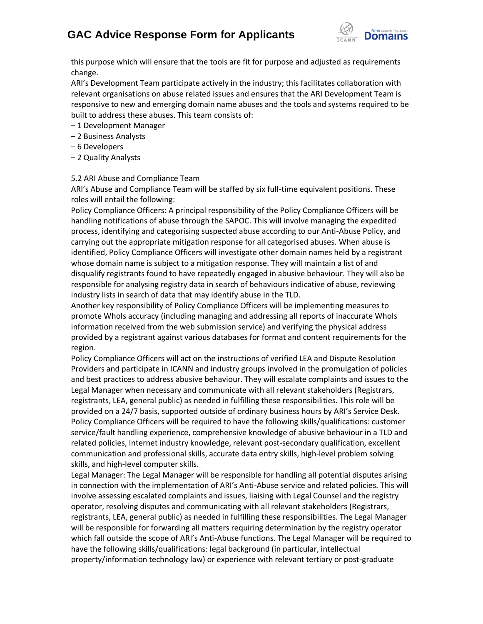

this purpose which will ensure that the tools are fit for purpose and adjusted as requirements change.

ARI's Development Team participate actively in the industry; this facilitates collaboration with relevant organisations on abuse related issues and ensures that the ARI Development Team is responsive to new and emerging domain name abuses and the tools and systems required to be built to address these abuses. This team consists of:

- 1 Development Manager
- 2 Business Analysts
- 6 Developers
- 2 Quality Analysts

#### 5.2 ARI Abuse and Compliance Team

ARI's Abuse and Compliance Team will be staffed by six full-time equivalent positions. These roles will entail the following:

Policy Compliance Officers: A principal responsibility of the Policy Compliance Officers will be handling notifications of abuse through the SAPOC. This will involve managing the expedited process, identifying and categorising suspected abuse according to our Anti-Abuse Policy, and carrying out the appropriate mitigation response for all categorised abuses. When abuse is identified, Policy Compliance Officers will investigate other domain names held by a registrant whose domain name is subject to a mitigation response. They will maintain a list of and disqualify registrants found to have repeatedly engaged in abusive behaviour. They will also be responsible for analysing registry data in search of behaviours indicative of abuse, reviewing industry lists in search of data that may identify abuse in the TLD.

Another key responsibility of Policy Compliance Officers will be implementing measures to promote WhoIs accuracy (including managing and addressing all reports of inaccurate WhoIs information received from the web submission service) and verifying the physical address provided by a registrant against various databases for format and content requirements for the region.

Policy Compliance Officers will act on the instructions of verified LEA and Dispute Resolution Providers and participate in ICANN and industry groups involved in the promulgation of policies and best practices to address abusive behaviour. They will escalate complaints and issues to the Legal Manager when necessary and communicate with all relevant stakeholders (Registrars, registrants, LEA, general public) as needed in fulfilling these responsibilities. This role will be provided on a 24/7 basis, supported outside of ordinary business hours by ARI's Service Desk. Policy Compliance Officers will be required to have the following skills/qualifications: customer service/fault handling experience, comprehensive knowledge of abusive behaviour in a TLD and related policies, Internet industry knowledge, relevant post-secondary qualification, excellent communication and professional skills, accurate data entry skills, high-level problem solving skills, and high-level computer skills.

Legal Manager: The Legal Manager will be responsible for handling all potential disputes arising in connection with the implementation of ARI's Anti-Abuse service and related policies. This will involve assessing escalated complaints and issues, liaising with Legal Counsel and the registry operator, resolving disputes and communicating with all relevant stakeholders (Registrars, registrants, LEA, general public) as needed in fulfilling these responsibilities. The Legal Manager will be responsible for forwarding all matters requiring determination by the registry operator which fall outside the scope of ARI's Anti-Abuse functions. The Legal Manager will be required to have the following skills/qualifications: legal background (in particular, intellectual property/information technology law) or experience with relevant tertiary or post-graduate